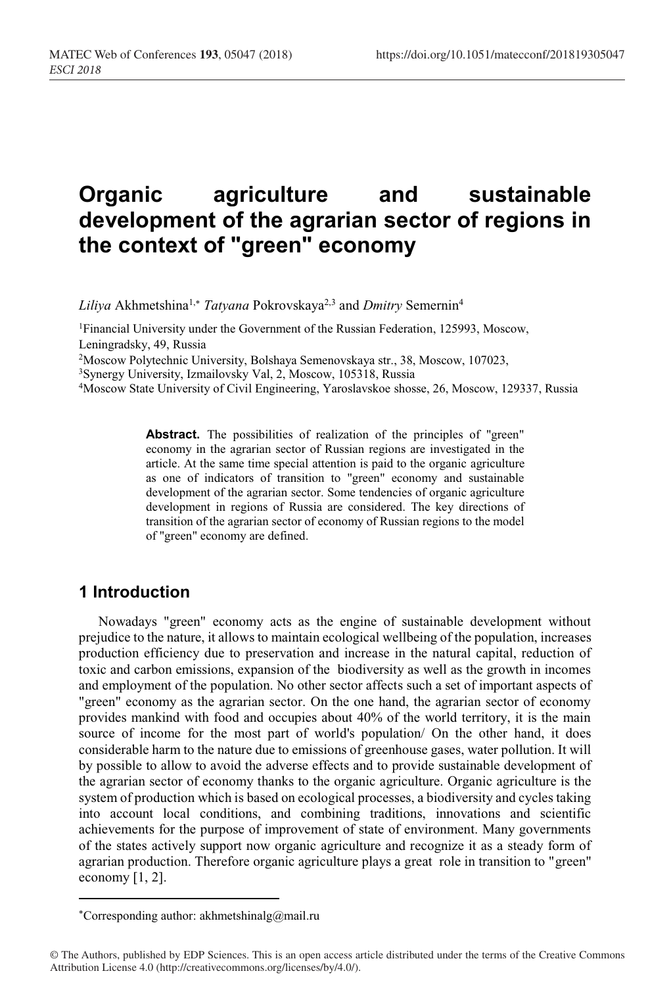# **Organic agriculture and sustainable development of the agrarian sector of regions in the context of "green" economy**

*Liliya* Akhmetshina<sup>1,\*</sup> *Tatyana* Pokrovskaya<sup>2,3</sup> and *Dmitry* Semernin<sup>4</sup>

<sup>1</sup>Financial University under the Government of the Russian Federation, 125993, Moscow, Leningradsky, 49, Russia

2Moscow Polytechnic University, Bolshaya Semenovskaya str., 38, Moscow, 107023,

3Synergy University, Izmailovsky Val, 2, Moscow, 105318, Russia

4Moscow State University of Civil Engineering, Yaroslavskoe shosse, 26, Moscow, 129337, Russia

Abstract. The possibilities of realization of the principles of "green" economy in the agrarian sector of Russian regions are investigated in the article. At the same time special attention is paid to the organic agriculture as one of indicators of transition to "green" economy and sustainable development of the agrarian sector. Some tendencies of organic agriculture development in regions of Russia are considered. The key directions of transition of the agrarian sector of economy of Russian regions to the model of "green" economy are defined.

#### **1 Introduction**

 $\overline{\phantom{a}}$ 

Nowadays "green" economy acts as the engine of sustainable development without prejudice to the nature, it allows to maintain ecological wellbeing of the population, increases production efficiency due to preservation and increase in the natural capital, reduction of toxic and carbon emissions, expansion of the biodiversity as well as the growth in incomes and employment of the population. No other sector affects such a set of important aspects of "green" economy as the agrarian sector. On the one hand, the agrarian sector of economy provides mankind with food and occupies about 40% of the world territory, it is the main source of income for the most part of world's population/ On the other hand, it does considerable harm to the nature due to emissions of greenhouse gases, water pollution. It will bу possible to allow to avoid the adverse effects and to provide sustainable development of the agrarian sector of economy thanks to the organic agriculture. Organic agriculture is the system of production which is based on ecological processes, a biodiversity and cycles taking into account local conditions, and combining traditions, innovations and scientific achievements for the purpose of improvement of state of environment. Many governments of the states actively support now organic agriculture and recognize it as a steady form of agrarian production. Therefore organic agriculture plays a great role in transition to "green" economy [1, 2].

Corresponding author: akhmetshinalg@mail.ru

<sup>©</sup> The Authors, published by EDP Sciences. This is an open access article distributed under the terms of the Creative Commons Attribution License 4.0 (http://creativecommons.org/licenses/by/4.0/).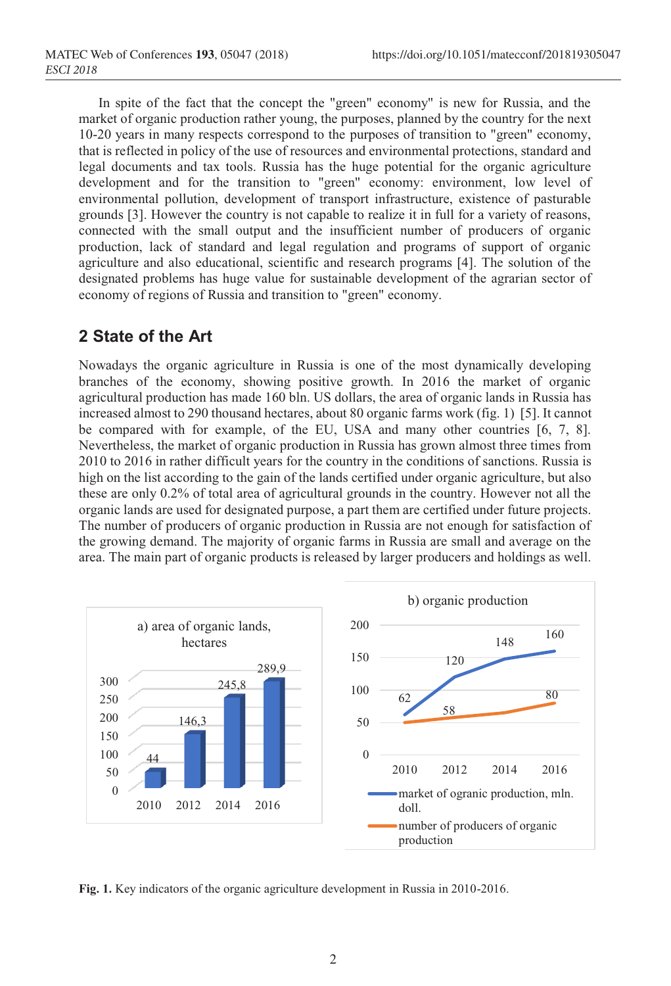In spite of the fact that the concept the "green" economy" is new for Russia, and the market of organic production rather young, the purposes, planned by the country for the next 10-20 years in many respects correspond to the purposes of transition to "green" economy, that is reflected in policy of the use of resources and environmental protections, standard and legal documents and tax tools. Russia has the huge potential for the organic agriculture development and for the transition to "green" economy: environment, low level of environmental pollution, development of transport infrastructure, existence of pasturable grounds [3]. However the country is not capable to realize it in full for a variety of reasons, connected with the small output and the insufficient number of producers of organic production, lack of standard and legal regulation and programs of support of organic agriculture and also educational, scientific and research programs [4]. The solution of the designated problems has huge value for sustainable development of the agrarian sector of economy of regions of Russia and transition to "green" economy.

## **2 State of the Art**

Nowadays the organic agriculture in Russia is one of the most dynamically developing branches of the economy, showing positive growth. In 2016 the market of organic agricultural production has made 160 bln. US dollars, the area of organic lands in Russia has increased almost to 290 thousand hectares, about 80 organic farms work (fig. 1) [5]. It cannot be compared with for example, of the EU, USA and many other countries [6, 7, 8]. Nevertheless, the market of organic production in Russia has grown almost three times from 2010 to 2016 in rather difficult years for the country in the conditions of sanctions. Russia is high on the list according to the gain of the lands certified under organic agriculture, but also these are only 0.2% of total area of agricultural grounds in the country. However not all the organic lands are used for designated purpose, a part them are certified under future projects. The number of producers of organic production in Russia are not enough for satisfaction of the growing demand. The majority of organic farms in Russia are small and average on the area. The main part of organic products is released by larger producers and holdings as well.



**Fig. 1.** Key indicators of the organic agriculture development in Russia in 2010-2016.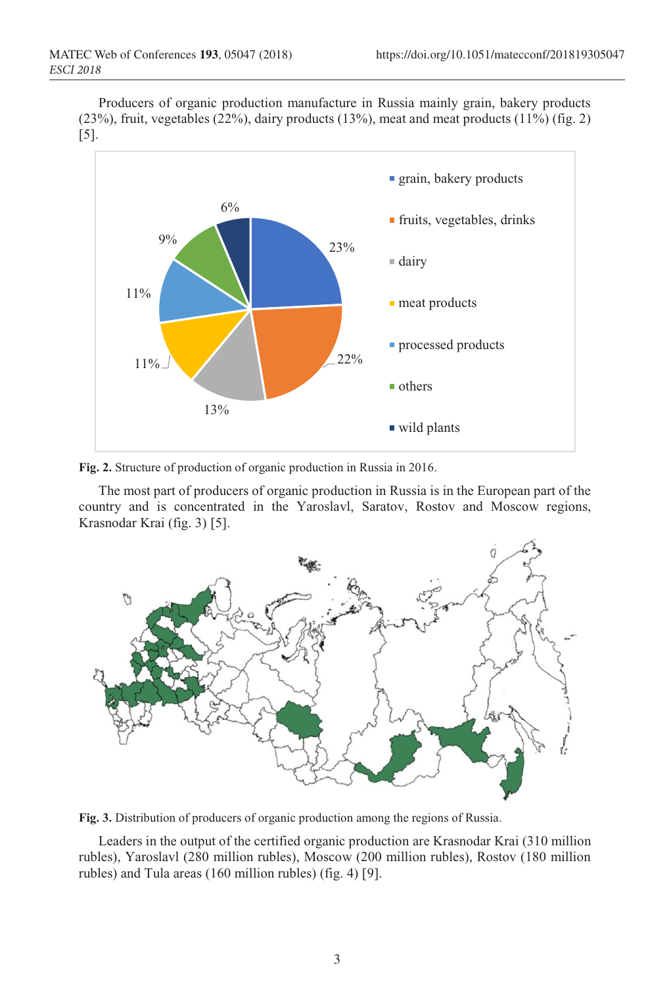Producers of organic production manufacture in Russia mainly grain, bakery products  $(23%)$ , fruit, vegetables  $(22%)$ , dairy products  $(13%)$ , meat and meat products  $(11%)$  (fig. 2) [5].



**Fig. 2.** Structure of production of organic production in Russia in 2016.

The most part of producers of organic production in Russia is in the European part of the country and is concentrated in the Yaroslavl, Saratov, Rostov and Moscow regions, Krasnodar Krai (fig. 3) [5].



**Fig. 3.** Distribution of producers of organic production among the regions of Russia.

Leaders in the output of the certified organic production are Krasnodar Krai (310 million rubles), Yaroslavl (280 million rubles), Moscow (200 million rubles), Rostov (180 million rubles) and Tula areas (160 million rubles) (fig. 4) [9].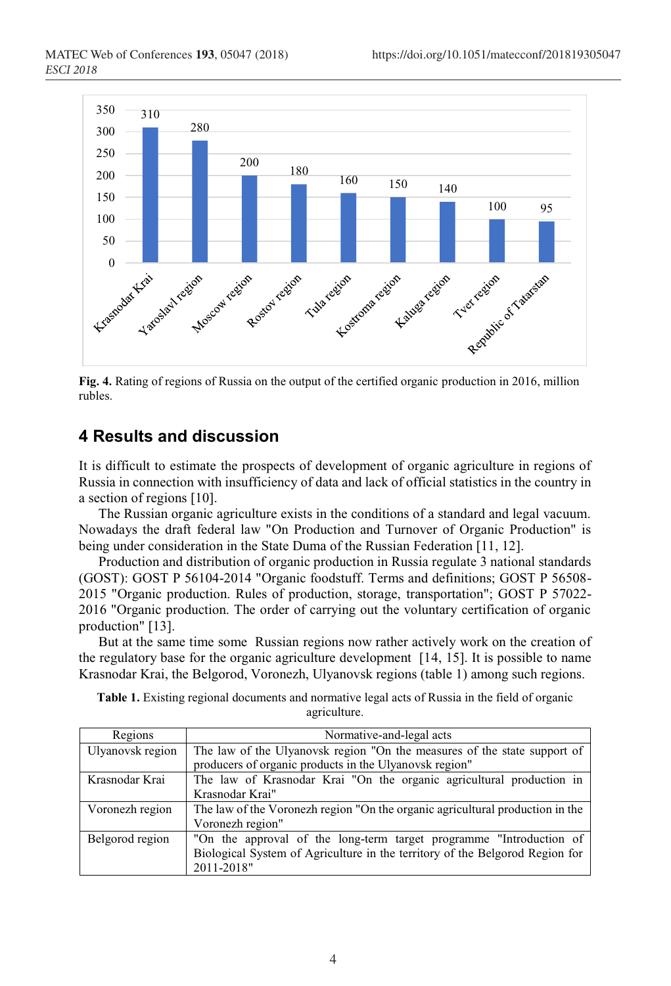

**Fig. 4.** Rating of regions of Russia on the output of the certified organic production in 2016, million rubles.

## **4 Results and discussion**

It is difficult to estimate the prospects of development of organic agriculture in regions of Russia in connection with insufficiency of data and lack of official statistics in the country in a section of regions [10].

The Russian organic agriculture exists in the conditions of a standard and legal vacuum. Nowadays the draft federal law "On Production and Turnover of Organic Production" is being under consideration in the State Duma of the Russian Federation [11, 12].

Production and distribution of organic production in Russia regulate 3 national standards (GOST): GOST P 56104-2014 "Organic foodstuff. Terms and definitions; GOST P 56508- 2015 "Organic production. Rules of production, storage, transportation"; GOST P 57022- 2016 "Organic production. The order of carrying out the voluntary certification of organic production" [13].

But at the same time some Russian regions now rather actively work on the creation of the regulatory base for the organic agriculture development [14, 15]. It is possible to name Krasnodar Krai, the Belgorod, Voronezh, Ulyanovsk regions (table 1) among such regions.

| Table 1. Existing regional documents and normative legal acts of Russia in the field of organic |              |  |  |  |
|-------------------------------------------------------------------------------------------------|--------------|--|--|--|
|                                                                                                 | agriculture. |  |  |  |

| Regions          | Normative-and-legal acts                                                      |
|------------------|-------------------------------------------------------------------------------|
| Ulyanovsk region | The law of the Ulyanovsk region "On the measures of the state support of      |
|                  | producers of organic products in the Ulyanovsk region"                        |
| Krasnodar Krai   | The law of Krasnodar Krai "On the organic agricultural production in          |
|                  | Krasnodar Krai"                                                               |
| Voronezh region  | The law of the Voronezh region "On the organic agricultural production in the |
|                  | Voronezh region"                                                              |
| Belgorod region  | "On the approval of the long-term target programme "Introduction of           |
|                  | Biological System of Agriculture in the territory of the Belgorod Region for  |
|                  | 2011-2018"                                                                    |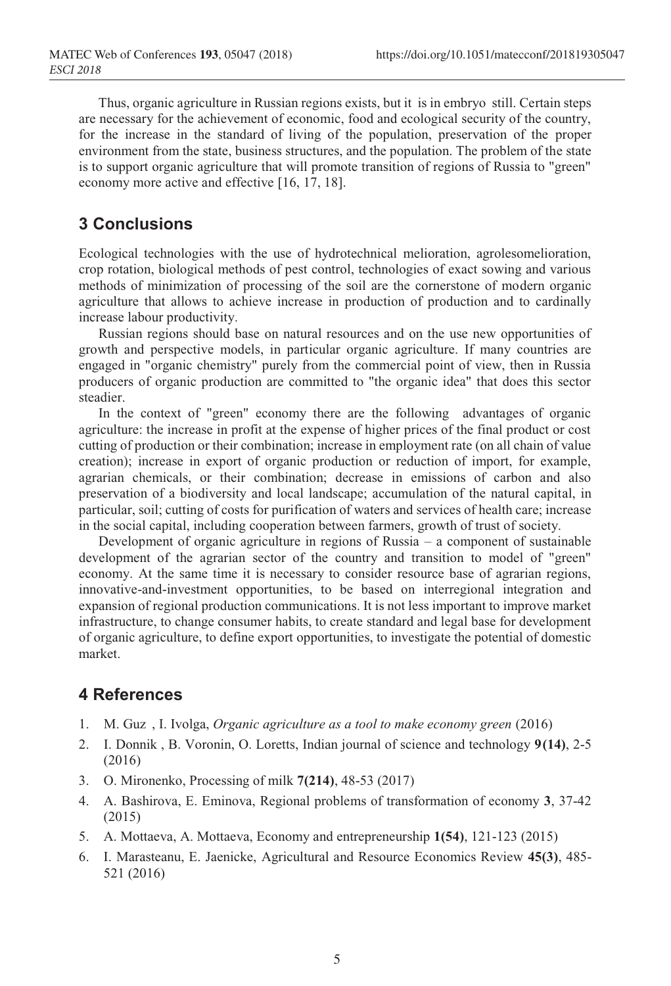<sup>350</sup> Thus, organic agriculture in Russian regions exists, but it is in embryo still. Certain steps are necessary for the achievement of economic, food and ecological security of the country, for the increase in the standard of living of the population, preservation of the proper environment from the state, business structures, and the population. The problem of the state is to support organic agriculture that will promote transition of regions of Russia to "green" economy more active and effective [16, 17, 18].

## **3 Conclusions**

Ecological technologies with the use of hydrotechnical melioration, agrolesomelioration, crop rotation, biological methods of pest control, technologies of exact sowing and various methods of minimization of processing of the soil are the cornerstone of modern organic agriculture that allows to achieve increase in production of production and to cardinally increase labour productivity.

Russian regions should base on natural resources and on the use new opportunities of growth and perspective models, in particular organic agriculture. If many countries are engaged in "organic chemistry" purely from the commercial point of view, then in Russia producers of organic production are committed to "the organic idea" that does this sector steadier.

In the context of "green" economy there are the following advantages of organic agriculture: the increase in profit at the expense of higher prices of the final product or cost cutting of production or their combination; increase in employment rate (on all chain of value creation); increase in export of organic production or reduction of import, for example, agrarian chemicals, or their combination; decrease in emissions of carbon and also preservation of a biodiversity and local landscape; accumulation of the natural capital, in particular, soil; cutting of costs for purification of waters and services of health care; increase in the social capital, including cooperation between farmers, growth of trust of society.

Development of organic agriculture in regions of Russia – a component of sustainable development of the agrarian sector of the country and transition to model of "green" economy. At the same time it is necessary to consider resource base of agrarian regions, innovative-and-investment opportunities, to be based on interregional integration and expansion of regional production communications. It is not less important to improve market infrastructure, to change consumer habits, to create standard and legal base for development of organic agriculture, to define export opportunities, to investigate the potential of domestic market.

## **4 References**

- 1. M. Guz , I. Ivolga, *Organic agriculture as a tool to make economy green* (2016)
- 2. I. Donnik , B. Voronin, O. Loretts, Indian journal of science and technology **9(14)**, 2-5 (2016)
- 3. O. Mironenko, Processing of milk **7(214)**, 48-53 (2017)
- 4. A. Bashirova, E. Eminova, Regional problems of transformation of economy **3**, 37-42 (2015)
- 5. A. Mottaeva, A. Mottaeva, Economy and entrepreneurship **1(54)**, 121-123 (2015)
- 6. I. Marasteanu, E. Jaenicke, Agricultural and Resource Economics Review **45(3)**, 485- 521 (2016)